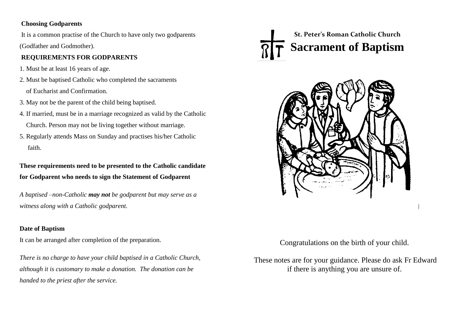#### **Choosing Godparents**

It is a common practise of the Church to have only two godparents (Godfather and Godmother).

# **REQUIREMENTS FOR GODPARENTS**

- 1. Must be at least 16 years of age.
- 2. Must be baptised Catholic who completed the sacraments of Eucharist and Confirmation.
- 3. May not be the parent of the child being baptised.
- 4. If married, must be in a marriage recognized as valid by the Catholic Church. Person may not be living together without marriage.
- 5. Regularly attends Mass on Sunday and practises his/her Catholic faith.

# **These requirements need to be presented to the Catholic candidate for Godparent who needs to sign the Statement of Godparent**

*A baptised –non-Catholic may not be godparent but may serve as a witness along with a Catholic godparent.*

# **Date of Baptism**

It can be arranged after completion of the preparation.

*There is no charge to have your child baptised in a Catholic Church, although it is customary to make a donation. The donation can be handed to the priest after the service.*

# **Sacrament of Baptism St. Peter's Roman Catholic Church**



Congratulations on the birth of your child.

These notes are for your guidance. Please do ask Fr Edward if there is anything you are unsure of.